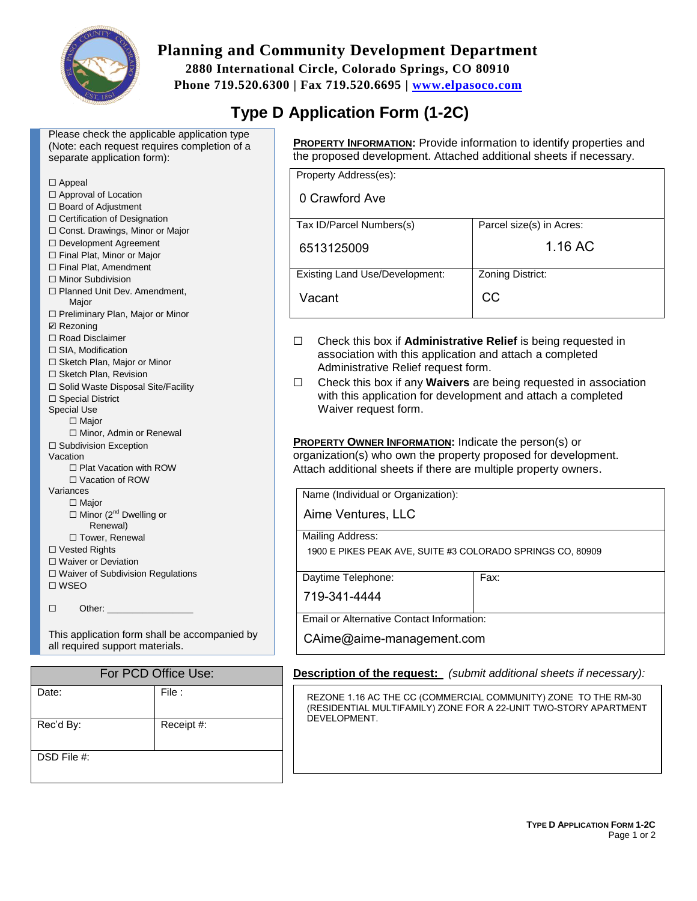

# **Planning and Community Development Department**

**2880 International Circle, Colorado Springs, CO 80910 Phone 719.520.6300 | Fax 719.520.6695 | [www.elpasoco.com](http://www.elpasoco.com/)**

# **Type D Application Form (1-2C)**

Please check the applicable application type (Note: each request requires completion of a separate application form):

| $\Box$ Appeal                             |  |
|-------------------------------------------|--|
| □ Approval of Location                    |  |
| $\Box$ Board of Adjustment                |  |
| $\Box$ Certification of Designation       |  |
| □ Const. Drawings, Minor or Major         |  |
| □ Development Agreement                   |  |
| □ Final Plat, Minor or Major              |  |
| □ Final Plat, Amendment                   |  |
| $\Box$ Minor Subdivision                  |  |
| □ Planned Unit Dev. Amendment,<br>Major   |  |
| □ Preliminary Plan, Major or Minor        |  |
| <b>☑</b> Rezoning                         |  |
| $\Box$ Road Disclaimer                    |  |
| $\Box$ SIA, Modification                  |  |
| □ Sketch Plan, Major or Minor             |  |
| □ Sketch Plan, Revision                   |  |
| □ Solid Waste Disposal Site/Facility      |  |
| □ Special District                        |  |
| <b>Special Use</b>                        |  |
| $\Box$ Major                              |  |
| □ Minor, Admin or Renewal                 |  |
| $\Box$ Subdivision Exception<br>Vacation  |  |
| □ Plat Vacation with ROW                  |  |
| $\Box$ Vacation of ROW                    |  |
| Variances                                 |  |
| □ Major                                   |  |
| $\Box$ Minor (2 <sup>nd</sup> Dwelling or |  |
| Renewal)                                  |  |
| □ Tower, Renewal                          |  |
| $\Box$ Vested Rights                      |  |
| □ Waiver or Deviation                     |  |
| □ Waiver of Subdivision Regulations       |  |
| $\square$ WSEO                            |  |
|                                           |  |
| Other:<br>ப                               |  |

This application form shall be accompanied by all required support materials.

| For PCD Office Use: |            |  |
|---------------------|------------|--|
| Date:               | File:      |  |
| Rec'd By:           | Receipt #: |  |
| DSD File #:         |            |  |

**PROPERTY INFORMATION:** Provide information to identify properties and the proposed development. Attached additional sheets if necessary.

| Property Address(es):                 |                          |
|---------------------------------------|--------------------------|
| 0 Crawford Ave                        |                          |
| Tax ID/Parcel Numbers(s)              | Parcel size(s) in Acres: |
| 6513125009                            | 1.16 AC                  |
| <b>Existing Land Use/Development:</b> | Zoning District:         |
| Vacant                                | CС                       |

- ☐ Check this box if **Administrative Relief** is being requested in association with this application and attach a completed Administrative Relief request form.
- ☐ Check this box if any **Waivers** are being requested in association with this application for development and attach a completed Waiver request form.

**PROPERTY OWNER INFORMATION:** Indicate the person(s) or organization(s) who own the property proposed for development. Attach additional sheets if there are multiple property owners.

Name (Individual or Organization):

Aime Ventures, LLC

Mailing Address:

1900 E PIKES PEAK AVE, SUITE #3 COLORADO SPRINGS CO, 80909

Daytime Telephone: Fax:

719-341-4444

Email or Alternative Contact Information:

CAime@aime-management.com

**Description of the request:** *(submit additional sheets if necessary):*

REZONE 1.16 AC THE CC (COMMERCIAL COMMUNITY) ZONE TO THE RM-30 (RESIDENTIAL MULTIFAMILY) ZONE FOR A 22-UNIT TWO-STORY APARTMENT DEVELOPMENT.